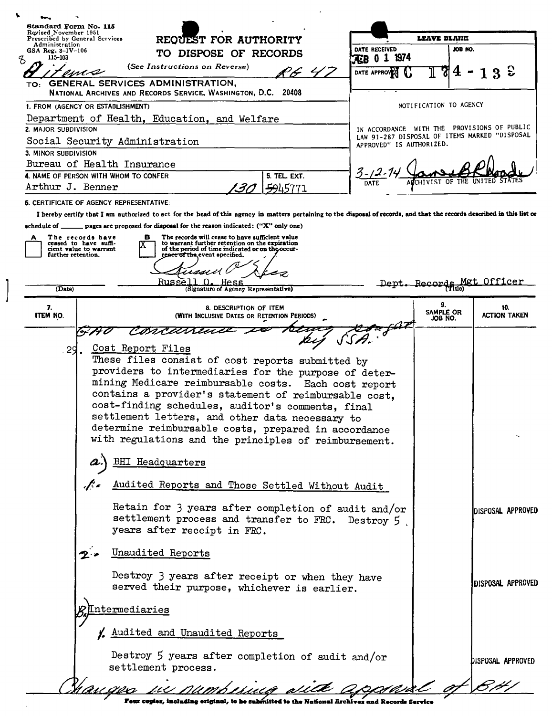| Standard Form No. 115<br>Revised November 1951<br>Prescribed by General Services |                                                                                                                                                                                                                                                                                                                                                                                                                                                     |   |                                                                                                                                         |                                                                                                                                                       |                        |                     |      |                                                                           | LEAVE BLAHK            |                      |    |                            |
|----------------------------------------------------------------------------------|-----------------------------------------------------------------------------------------------------------------------------------------------------------------------------------------------------------------------------------------------------------------------------------------------------------------------------------------------------------------------------------------------------------------------------------------------------|---|-----------------------------------------------------------------------------------------------------------------------------------------|-------------------------------------------------------------------------------------------------------------------------------------------------------|------------------------|---------------------|------|---------------------------------------------------------------------------|------------------------|----------------------|----|----------------------------|
| Administration<br>GSA Reg. 3-IV-106                                              |                                                                                                                                                                                                                                                                                                                                                                                                                                                     |   | REQUEST FOR AUTHORITY                                                                                                                   |                                                                                                                                                       |                        |                     |      | DATE RECEIVED                                                             |                        | JOB NO.              |    |                            |
| 115-103<br>ц                                                                     |                                                                                                                                                                                                                                                                                                                                                                                                                                                     |   | TO DISPOSE OF RECORDS                                                                                                                   |                                                                                                                                                       |                        |                     |      | FEB 0 1 1974                                                              |                        |                      |    |                            |
|                                                                                  | ma                                                                                                                                                                                                                                                                                                                                                                                                                                                  |   | (See Instructions on Reverse)                                                                                                           |                                                                                                                                                       |                        |                     | 7.47 | DATE APPROVER                                                             |                        | 714                  | 3z |                            |
|                                                                                  | TO: GENERAL SERVICES ADMINISTRATION,<br>NATIONAL ARCHIVES AND RECORDS SERVICE, WASHINGTON, D.C. 20408                                                                                                                                                                                                                                                                                                                                               |   |                                                                                                                                         |                                                                                                                                                       |                        |                     |      |                                                                           |                        |                      |    |                            |
|                                                                                  | 1. FROM (AGENCY OR ESTABLISHMENT)                                                                                                                                                                                                                                                                                                                                                                                                                   |   |                                                                                                                                         |                                                                                                                                                       |                        |                     |      |                                                                           | NOTIFICATION TO AGENCY |                      |    |                            |
|                                                                                  | Department of Health, Education, and Welfare                                                                                                                                                                                                                                                                                                                                                                                                        |   |                                                                                                                                         |                                                                                                                                                       |                        |                     |      |                                                                           |                        |                      |    |                            |
| 2. MAJOR SUBDIVISION                                                             |                                                                                                                                                                                                                                                                                                                                                                                                                                                     |   |                                                                                                                                         |                                                                                                                                                       |                        |                     |      | IN ACCORDANCE WITH THE PROVISIONS OF PUBLIC                               |                        |                      |    |                            |
|                                                                                  | Social Security Administration                                                                                                                                                                                                                                                                                                                                                                                                                      |   |                                                                                                                                         |                                                                                                                                                       |                        |                     |      | LAW 91-287 DISPOSAL OF ITEMS MARKED "DISPOSAL<br>APPROVED" IS AUTHORIZED. |                        |                      |    |                            |
| 3. MINOR SUBDIVISION                                                             |                                                                                                                                                                                                                                                                                                                                                                                                                                                     |   |                                                                                                                                         |                                                                                                                                                       |                        |                     |      |                                                                           |                        |                      |    |                            |
|                                                                                  | Bureau of Health Insurance                                                                                                                                                                                                                                                                                                                                                                                                                          |   |                                                                                                                                         |                                                                                                                                                       |                        |                     |      |                                                                           |                        |                      |    |                            |
| 4. NAME OF PERSON WITH WHOM TO CONFER                                            |                                                                                                                                                                                                                                                                                                                                                                                                                                                     |   |                                                                                                                                         |                                                                                                                                                       |                        | 5. TEL. EXT.        |      |                                                                           | <b>HIVIST</b>          | OF.                  |    |                            |
| Arthur J. Benner                                                                 |                                                                                                                                                                                                                                                                                                                                                                                                                                                     |   |                                                                                                                                         |                                                                                                                                                       | '31                    | <del>59</del> 45771 |      |                                                                           |                        |                      |    |                            |
| <b>6. CERTIFICATE OF AGENCY REPRESENTATIVE:</b>                                  |                                                                                                                                                                                                                                                                                                                                                                                                                                                     |   |                                                                                                                                         |                                                                                                                                                       |                        |                     |      |                                                                           |                        |                      |    |                            |
|                                                                                  | I hereby certify that I am authorized to act for the head of this agency in matters pertaining to the disposal of records, and that the records described in this list or                                                                                                                                                                                                                                                                           |   |                                                                                                                                         |                                                                                                                                                       |                        |                     |      |                                                                           |                        |                      |    |                            |
| $\bullet$ chedule of $\_$                                                        | pages are proposed for disposal for the reason indicated: ("X" only one)                                                                                                                                                                                                                                                                                                                                                                            |   |                                                                                                                                         |                                                                                                                                                       |                        |                     |      |                                                                           |                        |                      |    |                            |
|                                                                                  | The records have<br>ceased to have suffi-<br>cient value to warrant                                                                                                                                                                                                                                                                                                                                                                                 | в |                                                                                                                                         | The records will cease to have sufficient value<br>to warrant further retention on the expiration<br>of the period of time indicated or on the occur- |                        |                     |      |                                                                           |                        |                      |    |                            |
| further retention.                                                               |                                                                                                                                                                                                                                                                                                                                                                                                                                                     |   |                                                                                                                                         | rence of the event specified.                                                                                                                         |                        |                     |      |                                                                           |                        |                      |    |                            |
|                                                                                  |                                                                                                                                                                                                                                                                                                                                                                                                                                                     |   |                                                                                                                                         |                                                                                                                                                       |                        |                     |      |                                                                           |                        |                      |    |                            |
|                                                                                  |                                                                                                                                                                                                                                                                                                                                                                                                                                                     |   | Russell                                                                                                                                 |                                                                                                                                                       | Hess.                  |                     |      |                                                                           | Dept. Records N        |                      |    | Officer                    |
| (Date)                                                                           |                                                                                                                                                                                                                                                                                                                                                                                                                                                     |   |                                                                                                                                         | (Signature of Agency Representative)                                                                                                                  |                        |                     |      |                                                                           |                        |                      |    |                            |
| 7.<br><b>ITEM NO.</b>                                                            |                                                                                                                                                                                                                                                                                                                                                                                                                                                     |   |                                                                                                                                         | (WITH INCLUSIVE DATES OR RETENTION PERIODS)                                                                                                           | 8. DESCRIPTION OF ITEM |                     |      |                                                                           | 9.                     | SAMPLE OR<br>JOB NO. |    | 10.<br>action taken        |
|                                                                                  |                                                                                                                                                                                                                                                                                                                                                                                                                                                     |   | rmcan                                                                                                                                   |                                                                                                                                                       |                        |                     |      |                                                                           |                        |                      |    |                            |
|                                                                                  | These files consist of cost reports submitted by<br>providers to intermediaries for the purpose of deter-<br>mining Medicare reimbursable costs. Each cost report<br>contains a provider's statement of reimbursable cost,<br>cost-finding schedules, auditor's comments, final<br>settlement letters, and other data necessary to<br>determine reimbursable costs, prepared in accordance<br>with regulations and the principles of reimbursement. |   | BHI Headquarters                                                                                                                        |                                                                                                                                                       |                        |                     |      |                                                                           |                        |                      |    |                            |
|                                                                                  |                                                                                                                                                                                                                                                                                                                                                                                                                                                     |   |                                                                                                                                         |                                                                                                                                                       |                        |                     |      |                                                                           |                        |                      |    |                            |
|                                                                                  | $\mathcal{J}$                                                                                                                                                                                                                                                                                                                                                                                                                                       |   | Audited Reports and Those Settled Without Audit                                                                                         |                                                                                                                                                       |                        |                     |      |                                                                           |                        |                      |    |                            |
|                                                                                  |                                                                                                                                                                                                                                                                                                                                                                                                                                                     |   | Retain for 3 years after completion of audit and/or<br>settlement process and transfer to FRC. Destroy 5<br>years after receipt in FRC. |                                                                                                                                                       |                        |                     |      |                                                                           |                        |                      |    | <b>IDISPOSAL APPROVED</b>  |
|                                                                                  |                                                                                                                                                                                                                                                                                                                                                                                                                                                     |   | Unaudited Reports                                                                                                                       |                                                                                                                                                       |                        |                     |      |                                                                           |                        |                      |    |                            |
|                                                                                  |                                                                                                                                                                                                                                                                                                                                                                                                                                                     |   | Destroy 3 years after receipt or when they have<br>served their purpose, whichever is earlier.                                          |                                                                                                                                                       |                        |                     |      |                                                                           |                        |                      |    | DISPOSAL APPROVED          |
|                                                                                  | <u>Intermediaries</u>                                                                                                                                                                                                                                                                                                                                                                                                                               |   |                                                                                                                                         |                                                                                                                                                       |                        |                     |      |                                                                           |                        |                      |    |                            |
|                                                                                  |                                                                                                                                                                                                                                                                                                                                                                                                                                                     |   | Laudited and Unaudited Reports                                                                                                          |                                                                                                                                                       |                        |                     |      |                                                                           |                        |                      |    |                            |
|                                                                                  |                                                                                                                                                                                                                                                                                                                                                                                                                                                     |   | Destroy 5 years after completion of audit and/or<br>settlement process.                                                                 |                                                                                                                                                       |                        |                     |      |                                                                           |                        |                      |    | DISPOS <b>AL A</b> PPROVED |
|                                                                                  |                                                                                                                                                                                                                                                                                                                                                                                                                                                     |   | u numberma sutte                                                                                                                        |                                                                                                                                                       |                        |                     |      |                                                                           |                        |                      |    |                            |

 $\begin{array}{c} \end{array}$ 

Feur copies, including original, to be submitted to the National Archives and Records Service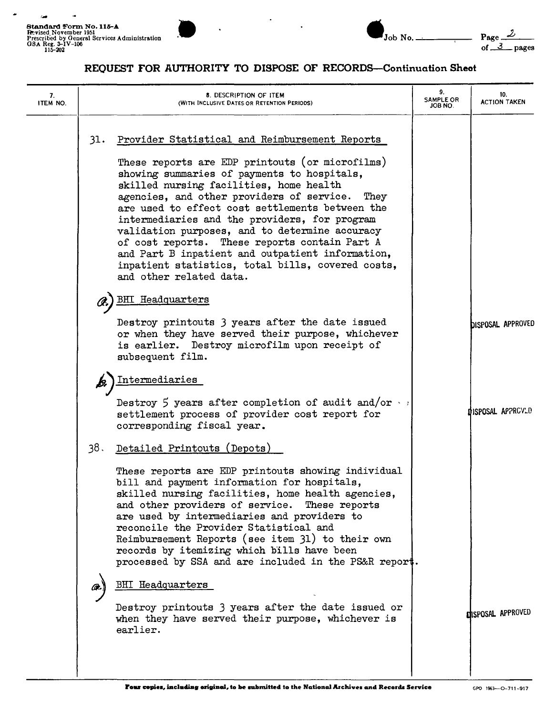,-





## REQUEST FOR AUTHORITY TO DISPOSE OF RECORDS-Continuation Sheet

| 7.<br>ITEM NO. | 8. DESCRIPTION OF ITEM<br>(WITH INCLUSIVE DATES OR RETENTION PERIODS)                                                                                                                                                                                                                                                                                                                                                                                                                                                                                                                                                  | 9.<br><b>SAMPLE OR</b><br>JOB NO. | 10.<br><b>ACTION TAKEN</b> |
|----------------|------------------------------------------------------------------------------------------------------------------------------------------------------------------------------------------------------------------------------------------------------------------------------------------------------------------------------------------------------------------------------------------------------------------------------------------------------------------------------------------------------------------------------------------------------------------------------------------------------------------------|-----------------------------------|----------------------------|
| 31.            | Provider Statistical and Reimbursement Reports<br>These reports are EDP printouts (or microfilms)<br>showing summaries of payments to hospitals,<br>skilled nursing facilities, home health<br>agencies, and other providers of service.<br>They<br>are used to effect cost settlements between the<br>intermediaries and the providers, for program<br>validation purposes, and to determine accuracy<br>of cost reports. These reports contain Part A<br>and Part B inpatient and outpatient information,<br>inpatient statistics, total bills, covered costs,<br>and other related data.<br><b>BHI Headquarters</b> |                                   |                            |
|                | Destroy printouts 3 years after the date issued<br>or when they have served their purpose, whichever<br>is earlier. Destroy microfilm upon receipt of<br>subsequent film.                                                                                                                                                                                                                                                                                                                                                                                                                                              |                                   | <b>bisposal Approved</b>   |
|                | Intermediaries<br>Destroy 5 years after completion of audit and/or $\cdot$ :<br>settlement process of provider cost report for<br>corresponding fiscal year.                                                                                                                                                                                                                                                                                                                                                                                                                                                           |                                   | DISPOSAL APPRCYLD          |
| 38.            | Detailed Printouts (Depots)<br>These reports are EDP printouts showing individual<br>bill and payment information for hospitals,<br>skilled nursing facilities, home health agencies,<br>and other providers of service. These reports<br>are used by intermediaries and providers to<br>reconcile the Provider Statistical and<br>Reimbursement Reports (see item 31) to their own<br>records by itemizing which bills have been<br>processed by SSA and are included in the PS&R report.                                                                                                                             |                                   |                            |
|                | <b>BHI</b> Headquarters<br>Destroy printouts 3 years after the date issued or<br>when they have served their purpose, whichever is<br>earlier.                                                                                                                                                                                                                                                                                                                                                                                                                                                                         |                                   | <b>DISPOSAL APPROVED</b>   |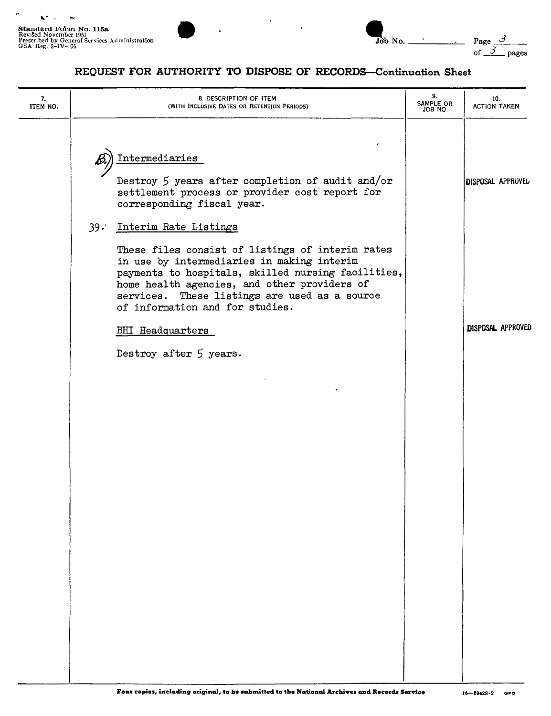$\tilde{\phantom{a}}$ 

 $\hat{\mathbf{r}}$ 

 $\mathbf{K}^{\bullet}$  ,  $\mathbf{K}$ 



| Job No. |                    |
|---------|--------------------|
|         | $Page \_$<br>pages |

## REQUEST FOR AUTHORITY TO DISPOSE OF RECORDS-Continuation Sheet

| 7.<br>ITEM NO. | 8. DESCRIPTION OF ITEM<br>(WITH INCLUSIVE DATES OR RETENTION PERIODS)                                                                                                                                                                                                                                                       | 9.<br>SAMPLE OR<br>JOB NO. | 10.<br><b>ACTION TAKEN</b> |
|----------------|-----------------------------------------------------------------------------------------------------------------------------------------------------------------------------------------------------------------------------------------------------------------------------------------------------------------------------|----------------------------|----------------------------|
|                | Intermediaries<br>Destroy 5 years after completion of audit and/or<br>settlement process or provider cost report for<br>corresponding fiscal year.                                                                                                                                                                          |                            | <b>DISPOSAL APPROVEL</b>   |
|                | Interim Rate Listings<br>$39 -$<br>These files consist of listings of interim rates<br>in use by intermediaries in making interim<br>payments to hospitals, skilled nursing facilities,<br>home health agencies, and other providers of<br>services. These listings are used as a source<br>of information and for studies. |                            |                            |
|                | <b>BHI Headquarters</b><br>Destroy after 5 years.                                                                                                                                                                                                                                                                           |                            | DISPOSAL APPROVED          |
|                |                                                                                                                                                                                                                                                                                                                             |                            |                            |
|                |                                                                                                                                                                                                                                                                                                                             |                            |                            |
|                |                                                                                                                                                                                                                                                                                                                             |                            |                            |
|                |                                                                                                                                                                                                                                                                                                                             |                            |                            |
|                |                                                                                                                                                                                                                                                                                                                             |                            |                            |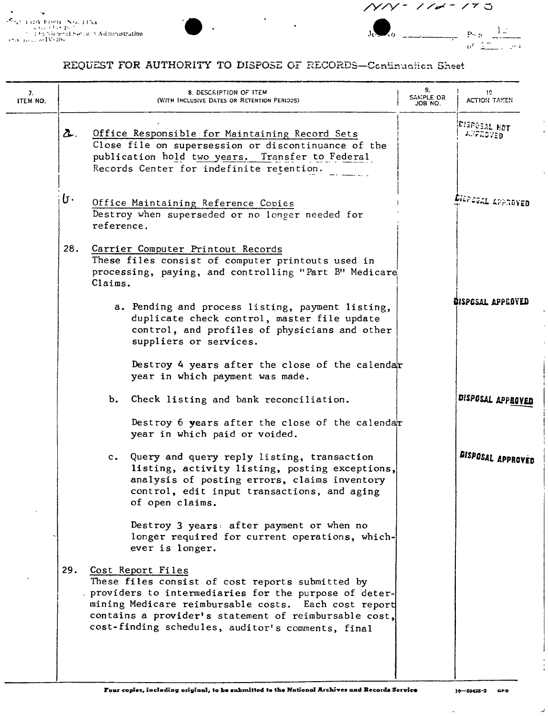٠.  $\begin{array}{l} \mathcal{L}_{\{q^{(i)}\}\cup\{1\}}\Lambda_{\{0\}}\cup\{\infty\},\quad \ \ \Lambda_{\{0\}}\cup\{\emptyset\},\quad \ \ \Lambda_{\{0\}}\cup\{\emptyset\},\quad \ \ \Lambda_{\{0\}}\cup\{\emptyset\},\quad \ \ \Lambda_{\{0\}}\cup\{\emptyset\},\quad \ \ \Lambda_{\{0\}}\cup\{\emptyset\},\quad \ \ \Lambda_{\{0\}}\cup\{\emptyset\},\quad \ \ \Lambda_{\{0\}}\cup\{\emptyset\},\quad \ \ \Lambda_{\{0\}}\cup\{\emptyset\},$ 



## REQUEST FOR AUTHORITY TO DISPOSE OF RECORDS-Continuation Sheet

| 7.<br>ITEM NO. |     | <b>8. DESCRIPTION OF ITEM</b><br>(WITH INCLUSIVE DATES OR RETENTION PERIODS)                                                                                                                                                                                                                         | 9.<br>SANPLE OR<br>JOB NO. | 19.<br>ACTION TAKEN      |
|----------------|-----|------------------------------------------------------------------------------------------------------------------------------------------------------------------------------------------------------------------------------------------------------------------------------------------------------|----------------------------|--------------------------|
|                | s.  | Office Responsible for Maintaining Record Sets<br>Close file on supersession or discontinuance of the<br>publication hold two years. Transfer to Federal<br>Records Center for indefinite retention.                                                                                                 |                            | EISPOSAL HOT<br>APPROVED |
|                | b٠  | Office Maintaining Reference Copies<br>Destroy when superseded or no longer needed for<br>reference.                                                                                                                                                                                                 |                            | <b>SIEPESAL APPROVED</b> |
|                | 28. | Carrier Computer Printout Records<br>These files consist of computer printouts used in<br>processing, paying, and controlling "Part B" Medicare<br>Claims.                                                                                                                                           |                            |                          |
|                |     | a. Pending and process listing, payment listing,<br>duplicate check control, master file update<br>control, and profiles of physicians and other<br>suppliers or services.                                                                                                                           |                            | BISPOSAL APPROYED        |
|                |     | Destroy 4 years after the close of the calendar<br>year in which payment was made.                                                                                                                                                                                                                   |                            |                          |
|                |     | b. Check listing and bank reconciliation.<br>Destroy 6 years after the close of the calendar<br>year in which paid or voided.                                                                                                                                                                        |                            | DISPOSAL APPROVED        |
|                |     | Query and query reply listing, transaction<br>$c_{\bullet}$<br>listing, activity listing, posting exceptions,<br>analysis of posting errors, claims inventory<br>control, edit input transactions, and aging<br>of open claims.                                                                      |                            | <b>BISPOSAL APPROVED</b> |
|                |     | Destroy 3 years: after payment or when no<br>longer required for current operations, which-<br>ever is longer.                                                                                                                                                                                       |                            |                          |
|                | 29. | Cost Report Files<br>These files consist of cost reports submitted by<br>providers to intermediaries for the purpose of deter-<br>mining Medicare reimbursable costs. Each cost report<br>contains a provider's statement of reimbursable cost,<br>cost-finding schedules, auditor's comments, final |                            |                          |

 $\ddot{\phantom{0}}$ 

لمد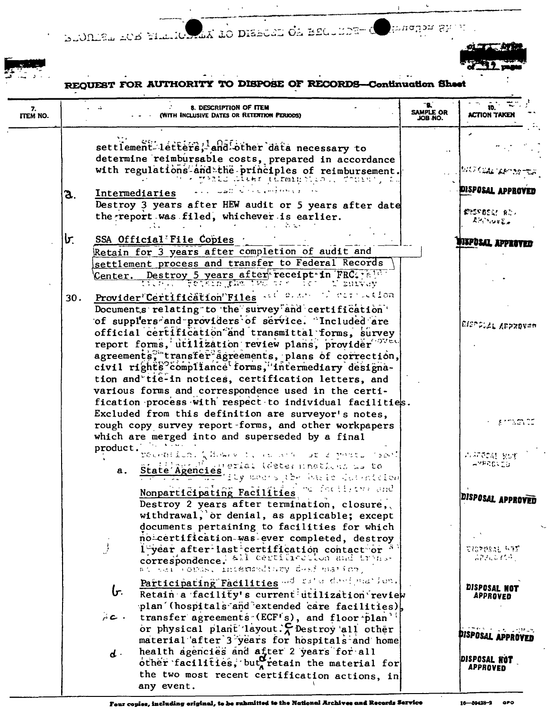DUODEL ACE FILLIONAR TO DISEURE OF RECULER irudion Sh



àř,

REQUEST FOR AUTHORITY TO DISPOSE OF RECORDS **Continuation She** 

| 7.<br><b>ITEM NO.</b> | 8. DESCRIPTION OF ITEM<br>(With Inclusive Dates or Retention Periods)                                                                                                                                                                                                                                                                                                                                                                                                                                                                                                                  | ۰.<br>SAMPLE OR<br>JOB NO. | ID.<br><b>ACTION TAKE</b>                                                              |
|-----------------------|----------------------------------------------------------------------------------------------------------------------------------------------------------------------------------------------------------------------------------------------------------------------------------------------------------------------------------------------------------------------------------------------------------------------------------------------------------------------------------------------------------------------------------------------------------------------------------------|----------------------------|----------------------------------------------------------------------------------------|
|                       | settlement letters, and other data necessary to<br>determine reimbursable costs, prepared in accordance<br>with regulations and the principles of reimbursement.                                                                                                                                                                                                                                                                                                                                                                                                                       |                            | istoricae parts                                                                        |
|                       | الوالى المعاملة والمستور الأنثار المتلقين والمتقلين<br>Intermediaries<br>З.<br>Destroy 3 years after HEW audit or 5 years after date<br>the report was filed, whichever is earlier.                                                                                                                                                                                                                                                                                                                                                                                                    |                            | <b>PISPOSAL APPROVED</b><br><b>COSTBERT BOY</b><br>不行的 化辛基氯                            |
|                       | lr.<br>SSA Official File Copies<br>Retain for 3 years after completion of audit and<br>settlement process and transfer to Federal Records<br>Center. Destroy 5 years after receipt in FRC:                                                                                                                                                                                                                                                                                                                                                                                             |                            | <b>MIPOSAL APPERVED</b>                                                                |
|                       | Provider Certification Files and contraction<br>30.<br>Documents relating to the survey and certification<br>of supplers and providers of service. Included are<br>official certification and transmittal forms, survey<br>report forms, utilization review plans, provider ov<br>agreements, "transfer agreements, plans of correction,<br>civil rights <sup>9</sup> compliance forms, intermediary designa-<br>tion and tie-in notices, certification letters, and<br>various forms and correspondence used in the certi-<br>fication process with respect to individual facilities. |                            | ВІРГРЫЛЬ ДЕРХОУЕВ                                                                      |
|                       | Excluded from this definition are surveyor's notes,<br>rough copy survey report forms, and other workpapers<br>which are merged into and superseded by a final<br>product.<br>recention. Qissa vit, as anno ar 2 parts (seal)<br>Migherial (determinations as to                                                                                                                                                                                                                                                                                                                       |                            | i an mata co<br>四环防艇 批准<br>⊸ማድጀርርር∂                                                    |
|                       | State Agencies, ily weers the basic defendation<br>а.<br>Nonparticipating Facilities To facility and<br>Destroy 2 years after termination, closure,<br>withdrawal, or denial, as applicable; except<br>documents pertaining to facilities for which                                                                                                                                                                                                                                                                                                                                    |                            | DISPOSAL APPROVED                                                                      |
|                       | no certification-was-ever completed, destroy<br>l year after last certification contact or <sup>3</sup><br>correspondence. All certification and tryns-<br>at cail chas. Intermediary desimation,                                                                                                                                                                                                                                                                                                                                                                                      |                            | 空招牌的过去式和某<br>223 CS 104 C                                                              |
|                       | Participating Facilities and rate designation.<br>b.<br>Retain a facility's current tillization review<br>plan (hospitals and extended care facilities),<br>AC.<br>transfer agreements (ECF's), and floor plan'                                                                                                                                                                                                                                                                                                                                                                        |                            | DISPOSAL NOT<br><b>APPROVED</b>                                                        |
|                       | or physical plant layout. $\zeta$ Destroy all other<br>material after 3 years for hospitals and home<br>health agencies and after 2 years for all<br>$\mathbf{d}$ .<br>other facilities, but retain the material for<br>the two most recent certification actions, in<br>any event.                                                                                                                                                                                                                                                                                                    |                            | <b>Chessings</b> Leptus<br><b>PISPOSAL APPROVED</b><br>DISPOSAL NOT<br><b>APPROVED</b> |